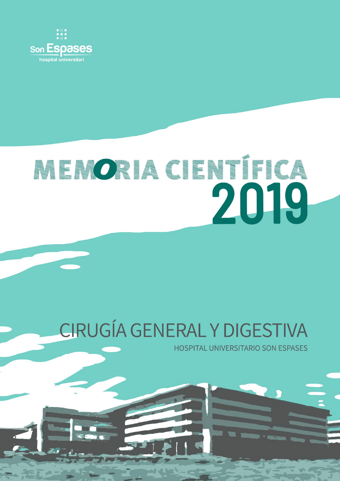

# RENORACIENTÍFICA 2019

## CIRUGÍA GENERAL Y DIGESTIVA

**HOSPITAL UNIVERSITARIO SON ESPASES**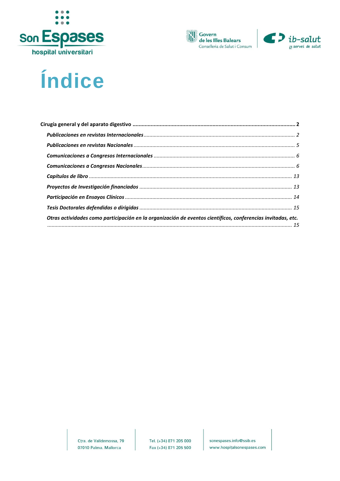





### Índice

| Otras actividades como participación en la organización de eventos científicos, conferencias invitadas, etc. |  |
|--------------------------------------------------------------------------------------------------------------|--|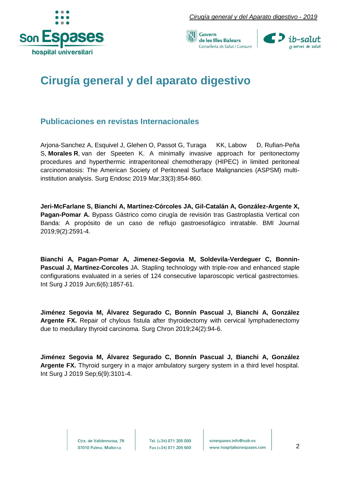





### <span id="page-2-0"></span>**Cirugía general y del aparato digestivo**

#### <span id="page-2-1"></span>**Publicaciones en revistas Internacionales**

[Arjona-Sanchez](https://www.ncbi.nlm.nih.gov/pubmed/?term=Arjona-Sanchez%20A%255BAuthor%255D&cauthor=true&cauthor_uid=30003349) A, [Esquivel](https://www.ncbi.nlm.nih.gov/pubmed/?term=Esquivel%20J%255BAuthor%255D&cauthor=true&cauthor_uid=30003349) J, [Glehen](https://www.ncbi.nlm.nih.gov/pubmed/?term=Glehen%20O%255BAuthor%255D&cauthor=true&cauthor_uid=30003349) O, [Passot](https://www.ncbi.nlm.nih.gov/pubmed/?term=Passot%20G%255BAuthor%255D&cauthor=true&cauthor_uid=30003349) G, [Turaga KK,](https://www.ncbi.nlm.nih.gov/pubmed/?term=Turaga%20KK%255BAuthor%255D&cauthor=true&cauthor_uid=30003349) [Labow D,](https://www.ncbi.nlm.nih.gov/pubmed/?term=Labow%20D%255BAuthor%255D&cauthor=true&cauthor_uid=30003349) [Rufian-Peña](https://www.ncbi.nlm.nih.gov/pubmed/?term=Rufian-Pe%25C3%25B1a%20S%255BAuthor%255D&cauthor=true&cauthor_uid=30003349)  [S,](https://www.ncbi.nlm.nih.gov/pubmed/?term=Rufian-Pe%25C3%25B1a%20S%255BAuthor%255D&cauthor=true&cauthor_uid=30003349) **[Morales](https://www.ncbi.nlm.nih.gov/pubmed/?term=Morales%20R%255BAuthor%255D&cauthor=true&cauthor_uid=30003349) R**, [van der Speeten K.](https://www.ncbi.nlm.nih.gov/pubmed/?term=van%20der%20Speeten%20K%255BAuthor%255D&cauthor=true&cauthor_uid=30003349) A minimally invasive approach for peritonectomy procedures and hyperthermic intraperitoneal chemotherapy (HIPEC) in limited peritoneal carcinomatosis: The American Society of Peritoneal Surface Malignancies (ASPSM) multiinstitution analysis. Surg Endosc 2019 Mar;33(3):854-860.

**Jeri-McFarlane S, Bianchi A, Martínez-Córcoles JA, Gil-Catalán A, González-Argente X, Pagan-Pomar A.** Bypass Gástrico como cirugía de revisión tras Gastroplastia Vertical con Banda: A propósito de un caso de reflujo gastroesofágico intratable. BMI Journal 2019;9(2):2591-4.

**Bianchi A, Pagan-Pomar A, Jimenez-Segovia M, Soldevila-Verdeguer C, Bonnin-Pascual J, Martinez-Corcoles** JA. Stapling technology with triple-row and enhanced staple configurations evaluated in a series of 124 consecutive laparoscopic vertical gastrectomies. Int Surg J 2019 Jun;6(6):1857-61.

**Jiménez Segovia M, Álvarez Segurado C, Bonnín Pascual J, Bianchi A, González Argente FX.** Repair of chylous fistula after thyroidectomy with cervical lymphadenectomy due to medullary thyroid carcinoma. Surg Chron 2019;24(2):94-6.

**Jiménez Segovia M, Álvarez Segurado C, Bonnín Pascual J, Bianchi A, González Argente FX.** Thyroid surgery in a major ambulatory surgery system in a third level hospital. Int Surg J 2019 Sep;6(9):3101-4.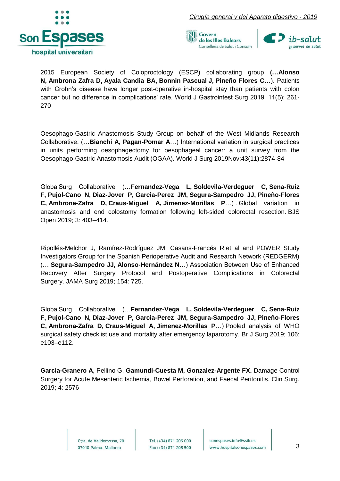





2015 European Society of Coloproctology (ESCP) collaborating group **([…Alonso](https://www.ncbi.nlm.nih.gov/pubmed/?term=Alonso%20N)  [N,](https://www.ncbi.nlm.nih.gov/pubmed/?term=Alonso%20N) [Ambrona Zafra D,](https://www.ncbi.nlm.nih.gov/pubmed/?term=Ambrona%20Zafra%20D) Ayala Candia BA, Bonnin Pascual J, [Pineño Flores C…](https://www.ncbi.nlm.nih.gov/pubmed/?term=Pine%25C3%25B1o%20Flores%20C)**). Patients with Crohn's disease have longer post-operative in-hospital stay than patients with colon cancer but no difference in complications' rate. World J Gastrointest Surg 2019; 11(5): 261- 270

Oesophago-Gastric Anastomosis Study Group on behalf of the West Midlands Research Collaborative. (…**Bianchi A, Pagan-Pomar A**…) International variation in surgical practices in units performing oesophagectomy for oesophageal cancer: a unit survey from the Oesophago-Gastric Anastomosis Audit (OGAA). World J Surg 2019Nov;43(11):2874-84

GlobalSurg Collaborative (…**[Fernandez-Vega L,](https://www.ncbi.nlm.nih.gov/pubmed/?term=Fernandez-Vega%20L) [Soldevila-Verdeguer C,](https://www.ncbi.nlm.nih.gov/pubmed/?term=Soldevila-Verdeguer%20C) [Sena-Ruiz](https://www.ncbi.nlm.nih.gov/pubmed/?term=Sena-Ruiz%20F)  [F,](https://www.ncbi.nlm.nih.gov/pubmed/?term=Sena-Ruiz%20F) [Pujol-Cano N,](https://www.ncbi.nlm.nih.gov/pubmed/?term=Pujol-Cano%20N) [Diaz-Jover P,](https://www.ncbi.nlm.nih.gov/pubmed/?term=Diaz-Jover%20P) [Garcia-Perez JM,](https://www.ncbi.nlm.nih.gov/pubmed/?term=Garcia-Perez%20JM) [Segura-Sampedro JJ,](https://www.ncbi.nlm.nih.gov/pubmed/?term=Segura-Sampedro%20JJ) [Pineño-Flores](https://www.ncbi.nlm.nih.gov/pubmed/?term=Pine%25C3%25B1o-Flores%20C)  [C,](https://www.ncbi.nlm.nih.gov/pubmed/?term=Pine%25C3%25B1o-Flores%20C) [Ambrona-Zafra D,](https://www.ncbi.nlm.nih.gov/pubmed/?term=Ambrona-Zafra%20D) [Craus-Miguel A,](https://www.ncbi.nlm.nih.gov/pubmed/?term=Craus-Miguel%20A) [Jimenez-Morillas P](https://www.ncbi.nlm.nih.gov/pubmed/?term=Jimenez-Morillas%20P)**…) . Global variation in anastomosis and end colostomy formation following left‐sided colorectal resection. BJS Open 2019; 3: 403–414.

Ripollés-Melchor J, Ramírez-Rodríguez JM, Casans-Francés R et al and [POWER Study](https://www.ncbi.nlm.nih.gov/pubmed/?term=POWER%20Study%20Investigators%20Group%20for%20the%20Spanish%20Perioperative%20Audit%20and%20Research%20Network%20(REDGERM)%255BCorporate%20Author%255D)  [Investigators Group for the Spanish Perioperative Audit and Research Network \(REDGERM\)](https://www.ncbi.nlm.nih.gov/pubmed/?term=POWER%20Study%20Investigators%20Group%20for%20the%20Spanish%20Perioperative%20Audit%20and%20Research%20Network%20(REDGERM)%255BCorporate%20Author%255D) (… **[Segura-Sampedro JJ,](https://www.ncbi.nlm.nih.gov/pubmed/?term=Segura-Sampedro%20JJ) [Alonso-Hernández N](https://www.ncbi.nlm.nih.gov/pubmed/?term=Alonso-Hern%25C3%25A1ndez%20N)**…) Association Between Use of Enhanced Recovery After Surgery Protocol and Postoperative Complications in Colorectal Surgery. JAMA Surg 2019; 154: 725.

GlobalSurg Collaborative (…**[Fernandez-Vega L,](https://www.ncbi.nlm.nih.gov/pubmed/?term=Fernandez-Vega%20L) [Soldevila-Verdeguer C,](https://www.ncbi.nlm.nih.gov/pubmed/?term=Soldevila-Verdeguer%20C) [Sena-Ruiz](https://www.ncbi.nlm.nih.gov/pubmed/?term=Sena-Ruiz%20F)  [F,](https://www.ncbi.nlm.nih.gov/pubmed/?term=Sena-Ruiz%20F) [Pujol-Cano N,](https://www.ncbi.nlm.nih.gov/pubmed/?term=Pujol-Cano%20N) [Diaz-Jover P,](https://www.ncbi.nlm.nih.gov/pubmed/?term=Diaz-Jover%20P) [Garcia-Perez JM,](https://www.ncbi.nlm.nih.gov/pubmed/?term=Garcia-Perez%20JM) [Segura-Sampedro JJ,](https://www.ncbi.nlm.nih.gov/pubmed/?term=Segura-Sampedro%20JJ) [Pineño-Flores](https://www.ncbi.nlm.nih.gov/pubmed/?term=Pine%25C3%25B1o-Flores%20C)  [C,](https://www.ncbi.nlm.nih.gov/pubmed/?term=Pine%25C3%25B1o-Flores%20C) [Ambrona-Zafra D,](https://www.ncbi.nlm.nih.gov/pubmed/?term=Ambrona-Zafra%20D) [Craus-Miguel A,](https://www.ncbi.nlm.nih.gov/pubmed/?term=Craus-Miguel%20A) [Jimenez-Morillas P](https://www.ncbi.nlm.nih.gov/pubmed/?term=Jimenez-Morillas%20P)**…) Pooled analysis of WHO surgical safety checklist use and mortality after emergency laparotomy. Br J Surg 2019; 106: e103–e112.

**Garcia-Granero A**, Pellino G, **Gamundi-Cuesta M, Gonzalez-Argente FX.** Damage Control Surgery for Acute Mesenteric Ischemia, Bowel Perforation, and Faecal Peritonitis. Clin Surg. 2019; 4: 2576

> Ctra, de Valldemossa, 79 07010 Palma. Mallorca

Tel. (+34) 871 205 000 Fax (+34) 871 205 500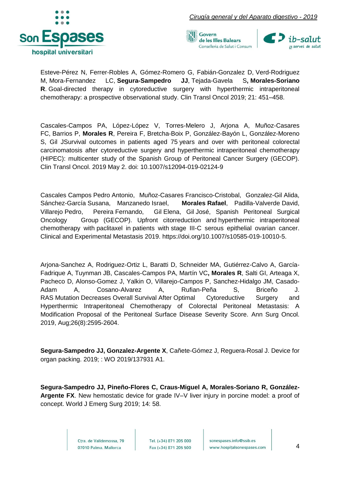





Esteve-Pérez N, Ferrer-Robles A, Gómez-Romero G, [Fabián-Gonzalez D,](https://www.ncbi.nlm.nih.gov/pubmed/?term=Fabi%25C3%25A1n-Gonzalez%20D%255BAuthor%255D&cauthor=true&cauthor_uid=30218305) [Verd-Rodriguez](https://www.ncbi.nlm.nih.gov/pubmed/?term=Verd-Rodriguez%20M%255BAuthor%255D&cauthor=true&cauthor_uid=30218305)  [M,](https://www.ncbi.nlm.nih.gov/pubmed/?term=Verd-Rodriguez%20M%255BAuthor%255D&cauthor=true&cauthor_uid=30218305) [Mora-Fernandez LC,](https://www.ncbi.nlm.nih.gov/pubmed/?term=Mora-Fernandez%20LC%255BAuthor%255D&cauthor=true&cauthor_uid=30218305) **[Segura-Sampedro JJ](https://www.ncbi.nlm.nih.gov/pubmed/?term=Segura-Sampedro%20JJ%255BAuthor%255D&cauthor=true&cauthor_uid=30218305)**, Tejada-Gavela S**, [Morales-Soriano](https://www.ncbi.nlm.nih.gov/pubmed/?term=Morales-Soriano%20R%255BAuthor%255D&cauthor=true&cauthor_uid=30218305)  [R](https://www.ncbi.nlm.nih.gov/pubmed/?term=Morales-Soriano%20R%255BAuthor%255D&cauthor=true&cauthor_uid=30218305)**. Goal-directed therapy in cytoreductive surgery with hyperthermic intraperitoneal chemotherapy: a prospective observational study. Clin Transl Oncol 2019; 21: 451–458.

Cascales-Campos PA, López-López V, Torres-Melero J, Arjona A, Muñoz-Casares FC, Barrios P, **Morales R**, Pereira F, Bretcha-Boix P, González-Bayón L, González-Moreno S, Gil JSurvival outcomes in patients aged 75 years and over with peritoneal colorectal carcinomatosis after cytoreductive surgery and hyperthermic intraperitoneal chemotherapy (HIPEC): multicenter study of the Spanish Group of Peritoneal Cancer Surgery (GECOP). [Clin Transl Oncol.](https://www.ncbi.nlm.nih.gov/pubmed/?term=Survival+outcomes+in+patients+aged+75+years+and+over+with+peritoneal+colorectal+carcinomatosis+after+cytoreductive+surgery+and+hyperthermic+intraperitoneal+chemotherapy+(HIPEC)%3A+multicenter+study+of+the+Spanish+Group+of+Peritoneal+Cancer+Surgery+(GECOP)) 2019 May 2. doi: 10.1007/s12094-019-02124-9

Cascales Campos Pedro Antonio, Muñoz-Casares Francisco-Cristobal, Gonzalez-Gil Alida, Sánchez-García Susana, Manzanedo Israel, **Morales Rafael**, Padilla-Valverde David, Villarejo Pedro, Pereira Fernando, Gil Elena, Gil José, Spanish Peritoneal Surgical Oncology Group (GECOP). Upfront citorreduction and hyperthermic intraperitoneal chemotherapy with paclitaxel in patients with stage III-C serous epithelial ovarian cancer. Clinical and Experimental Metastasis 2019. https://doi.org/10.1007/s10585-019-10010-5.

Arjona-Sanchez A, Rodriguez-Ortiz L, Baratti D, Schneider MA, Gutiérrez-Calvo A, García-Fadrique A, Tuynman JB, Cascales-Campos PA, Martín VC**, Morales R**, Salti GI, Arteaga X, Pacheco D, Alonso-Gomez J, Yalkin O, Villarejo-Campos P, Sanchez-Hidalgo JM, Casado-Adam A, Cosano-Alvarez A, Rufian-Peña S, Briceño J. RAS Mutation Decreases Overall Survival After [Optimal Cytoreductive Surgery and](https://www.ncbi.nlm.nih.gov/pubmed/31111351)  [Hyperthermic Intraperitoneal Chemotherapy of Colorectal Peritoneal Metastasis: A](https://www.ncbi.nlm.nih.gov/pubmed/31111351)  [Modification Proposal of the Peritoneal Surface Disease Severity Score.](https://www.ncbi.nlm.nih.gov/pubmed/31111351) Ann Surg Oncol. 2019, Aug;26(8):2595-2604.

**Segura-Sampedro JJ, Gonzalez-Argente X**, Cañete-Gómez J, Reguera-Rosal J. Device for organ packing. 2019; : WO 2019/137931 A1.

**Segura-Sampedro JJ, Pineño-Flores C, Craus-Miguel A, Morales-Soriano R, González-Argente FX**. New hemostatic device for grade IV–V liver injury in porcine model: a proof of concept. World J Emerg Surg 2019; 14: 58.

> Ctra, de Valldemossa, 79 07010 Palma. Mallorca

Tel. (+34) 871 205 000 Fax (+34) 871 205 500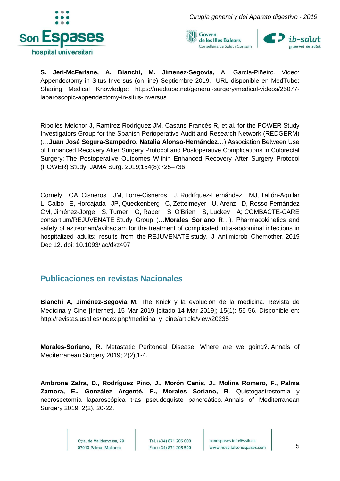





**S. Jeri-McFarlane, A. Bianchi, M. Jimenez-Segovia,** A. García-Piñeiro. Video: Appendectomy in Situs Inversus (on line) Septiembre 2019. URL disponible en MedTube: Sharing Medical Knowledge: [https://medtube.net/general-surgery/medical-videos/25077](https://medtube.net/general-surgery/medical-videos/25077-laparoscopic-appendectomy-in-situs-inversus) [laparoscopic-appendectomy-in-situs-inversus](https://medtube.net/general-surgery/medical-videos/25077-laparoscopic-appendectomy-in-situs-inversus)

Ripollés-Melchor J, Ramírez-Rodríguez JM, Casans-Francés R, et al. for the POWER Study Investigators Group for the Spanish Perioperative Audit and Research Network (REDGERM) (…**Juan José Segura-Sampedro, Natalia Alonso-Hernández**…) Association Between Use of Enhanced Recovery After Surgery Protocol and Postoperative Complications in Colorectal Surgery: The Postoperative Outcomes Within Enhanced Recovery After Surgery Protocol (POWER) Study. JAMA Surg. 2019;154(8):725–736.

[Cornely OA,](https://www.ncbi.nlm.nih.gov/pubmed/?term=Cornely%20OA%255BAuthor%255D&cauthor=true&cauthor_uid=31828337) [Cisneros JM,](https://www.ncbi.nlm.nih.gov/pubmed/?term=Cisneros%20JM%255BAuthor%255D&cauthor=true&cauthor_uid=31828337) [Torre-Cisneros J,](https://www.ncbi.nlm.nih.gov/pubmed/?term=Torre-Cisneros%20J%255BAuthor%255D&cauthor=true&cauthor_uid=31828337) [Rodríguez-Hernández MJ,](https://www.ncbi.nlm.nih.gov/pubmed/?term=Rodr%25C3%25ADguez-Hern%25C3%25A1ndez%20MJ%255BAuthor%255D&cauthor=true&cauthor_uid=31828337) [Tallón-Aguilar](https://www.ncbi.nlm.nih.gov/pubmed/?term=Tall%25C3%25B3n-Aguilar%20L%255BAuthor%255D&cauthor=true&cauthor_uid=31828337)  [L,](https://www.ncbi.nlm.nih.gov/pubmed/?term=Tall%25C3%25B3n-Aguilar%20L%255BAuthor%255D&cauthor=true&cauthor_uid=31828337) [Calbo E,](https://www.ncbi.nlm.nih.gov/pubmed/?term=Calbo%20E%255BAuthor%255D&cauthor=true&cauthor_uid=31828337) [Horcajada JP,](https://www.ncbi.nlm.nih.gov/pubmed/?term=Horcajada%20JP%255BAuthor%255D&cauthor=true&cauthor_uid=31828337) [Queckenberg C,](https://www.ncbi.nlm.nih.gov/pubmed/?term=Queckenberg%20C%255BAuthor%255D&cauthor=true&cauthor_uid=31828337) [Zettelmeyer U,](https://www.ncbi.nlm.nih.gov/pubmed/?term=Zettelmeyer%20U%255BAuthor%255D&cauthor=true&cauthor_uid=31828337) [Arenz D,](https://www.ncbi.nlm.nih.gov/pubmed/?term=Arenz%20D%255BAuthor%255D&cauthor=true&cauthor_uid=31828337) [Rosso-Fernández](https://www.ncbi.nlm.nih.gov/pubmed/?term=Rosso-Fern%25C3%25A1ndez%20CM%255BAuthor%255D&cauthor=true&cauthor_uid=31828337)  [CM,](https://www.ncbi.nlm.nih.gov/pubmed/?term=Rosso-Fern%25C3%25A1ndez%20CM%255BAuthor%255D&cauthor=true&cauthor_uid=31828337) [Jiménez-Jorge S,](https://www.ncbi.nlm.nih.gov/pubmed/?term=Jim%25C3%25A9nez-Jorge%20S%255BAuthor%255D&cauthor=true&cauthor_uid=31828337) [Turner G,](https://www.ncbi.nlm.nih.gov/pubmed/?term=Turner%20G%255BAuthor%255D&cauthor=true&cauthor_uid=31828337) [Raber S,](https://www.ncbi.nlm.nih.gov/pubmed/?term=Raber%20S%255BAuthor%255D&cauthor=true&cauthor_uid=31828337) [O'Brien S,](https://www.ncbi.nlm.nih.gov/pubmed/?term=O%2527Brien%20S%255BAuthor%255D&cauthor=true&cauthor_uid=31828337) [Luckey A;](https://www.ncbi.nlm.nih.gov/pubmed/?term=Luckey%20A%255BAuthor%255D&cauthor=true&cauthor_uid=31828337) [COMBACTE-CARE](https://www.ncbi.nlm.nih.gov/pubmed/?term=COMBACTE-CARE%20consortium%252FREJUVENATE%20Study%20Group%255BCorporate%20Author%255D)  [consortium/REJUVENATE](https://www.ncbi.nlm.nih.gov/pubmed/?term=COMBACTE-CARE%20consortium%252FREJUVENATE%20Study%20Group%255BCorporate%20Author%255D) Study Group (…**Morales Soriano R**…). Pharmacokinetics and safety of aztreonam/avibactam for the treatment of complicated intra-abdominal infections in hospitalized adults: results from the REJUVENATE study. [J Antimicrob Chemother.](https://www.ncbi.nlm.nih.gov/pubmed/31828337) 2019 Dec 12. doi: 10.1093/jac/dkz497

#### <span id="page-5-0"></span>**Publicaciones en revistas Nacionales**

**Bianchi A, Jiménez-Segovia M.** The Knick y la evolución de la medicina. Revista de Medicina y Cine [Internet]. 15 Mar 2019 [citado 14 Mar 2019]; 15(1): 55-56. Disponible en: http://revistas.usal.es/index.php/medicina\_y\_cine/article/view/20235

**Morales-Soriano, R.** Metastatic Peritoneal Disease. Where are we going?. Annals of Mediterranean Surgery 2019; 2(2),1-4.

**Ambrona Zafra, D., Rodríguez Pino, J., Morón Canis, J., Molina Romero, F., Palma Zamora, E., González Argenté, F., Morales Soriano, R**. Quistogastrostomia y necrosectomía laparoscópica tras pseudoquiste pancreático. Annals of Mediterranean Surgery 2019; 2(2), 20-22.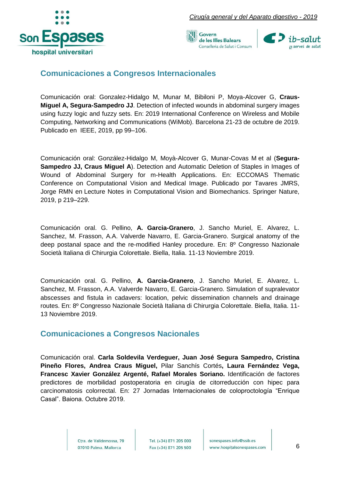





#### <span id="page-6-0"></span>**Comunicaciones a Congresos Internacionales**

Comunicación oral: Gonzalez-Hidalgo M, Munar M, Bibiloni P, Moya-Alcover G, **Craus-Miguel A, Segura-Sampedro JJ**. Detection of infected wounds in abdominal surgery images using fuzzy logic and fuzzy sets. En: 2019 International Conference on Wireless and Mobile Computing, Networking and Communications (WiMob). Barcelona 21-23 de octubre de 2019. Publicado en IEEE, 2019, pp 99–106.

Comunicación oral: González-Hidalgo M, Moyà-Alcover G, Munar-Covas M et al (**Segura-Sampedro JJ, Craus Miguel A**). Detection and Automatic Deletion of Staples in Images of Wound of Abdominal Surgery for m-Health Applications. En: ECCOMAS Thematic Conference on Computational Vision and Medical Image. Publicado por Tavares JMRS, Jorge RMN en Lecture Notes in Computational Vision and Biomechanics. Springer Nature, 2019, p 219–229.

Comunicación oral. G. Pellino, **A. Garcia-Granero**, J. Sancho Muriel, E. Alvarez, L. Sanchez, M. Frasson, A.A. Valverde Navarro, E. Garcia-Granero. Surgical anatomy of the deep postanal space and the re-modified Hanley procedure. En: 8º Congresso Nazionale Società Italiana di Chirurgia Colorettale. Biella, Italia. 11-13 Noviembre 2019.

Comunicación oral. G. Pellino, **A. Garcia-Granero**, J. Sancho Muriel, E. Alvarez, L. Sanchez, M. Frasson, A.A. Valverde Navarro, E. Garcia-Granero. Simulation of supralevator abscesses and fistula in cadavers: location, pelvic dissemination channels and drainage routes. En: 8º Congresso Nazionale Società Italiana di Chirurgia Colorettale. Biella, Italia. 11- 13 Noviembre 2019.

#### <span id="page-6-1"></span>**Comunicaciones a Congresos Nacionales**

Comunicación oral. **Carla Soldevila Verdeguer, Juan José Segura Sampedro, Cristina Pineño Flores, Andrea Craus Miguel,** Pilar Sanchís Cortés**, Laura Fernández Vega, Francesc Xavier González Argenté, Rafael Morales Soriano.** Identificación de factores predictores de morbilidad postoperatoria en cirugía de citorreducción con hipec para carcinomatosis colorrectal. En: 27 Jornadas Internacionales de coloproctología "Enrique Casal". Baiona. Octubre 2019.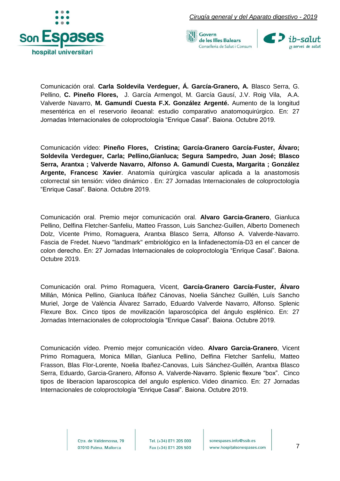





Comunicación oral. **Carla Soldevila Verdeguer, Á. García-Granero, A.** Blasco Serra, G. Pellino, **C. Pineño Flores,** J. García Armengol, M. García Gausí, J.V. Roig Vila, A.A. Valverde Navarro, **M. Gamundí Cuesta F.X. González Argenté.** Aumento de la longitud mesentérica en el reservorio ileoanal: estudio comparativo anatomoquirúrgico. En: 27 Jornadas Internacionales de coloproctología "Enrique Casal". Baiona. Octubre 2019.

Comunicación vídeo: **Pineño Flores, Cristina; García-Granero García-Fuster, Álvaro; Soldevila Verdeguer, Carla; Pellino,Gianluca; Segura Sampedro, Juan José; Blasco Serra, Arantxa ; Valverde Navarro, Alfonso A. Gamundí Cuesta, Margarita ; González Argente, Francesc Xavier**. Anatomía quirúrgica vascular aplicada a la anastomosis colorrectal sin tensión: vídeo dinámico . En: 27 Jornadas Internacionales de coloproctología "Enrique Casal". Baiona. Octubre 2019.

Comunicación oral. Premio mejor comunicación oral. **Alvaro Garcia-Granero**, Gianluca Pellino, Delfina Fletcher-Sanfeliu, Matteo Frasson, Luis Sanchez-Guillen, Alberto Domenech Dolz, Vicente Primo, Romaguera, Arantxa Blasco Serra, Alfonso A. Valverde-Navarro. Fascia de Fredet. Nuevo "landmark" embriológico en la linfadenectomía-D3 en el cancer de colon derecho. En: 27 Jornadas Internacionales de coloproctología "Enrique Casal". Baiona. Octubre 2019.

Comunicación oral. Primo Romaguera, Vicent, **García-Granero García-Fuster, Álvaro** Millán, Mónica Pellino, Gianluca Ibáñez Cánovas, Noelia Sánchez Guillén, Luís Sancho Muriel, Jorge de València Álvarez Sarrado, Eduardo Valverde Navarro, Alfonso. Splenic Flexure Box. Cinco tipos de movilización laparoscópica del ángulo esplénico. En: 27 Jornadas Internacionales de coloproctología "Enrique Casal". Baiona. Octubre 2019.

Comunicación vídeo. Premio mejor comunicación vídeo. **Alvaro Garcia-Granero**, Vicent Primo Romaguera, Monica Millan, Gianluca Pellino, Delfina Fletcher Sanfeliu, Matteo Frasson, Blas Flor-Lorente, Noelia Ibañez-Canovas, Luis Sánchez-Guillén, Arantxa Blasco Serra, Eduardo, Garcia-Granero, Alfonso A. Valverde-Navarro. Splenic flexure "box". Cinco tipos de liberacion laparoscopica del angulo esplenico. Video dinamico. En: 27 Jornadas Internacionales de coloproctología "Enrique Casal". Baiona. Octubre 2019.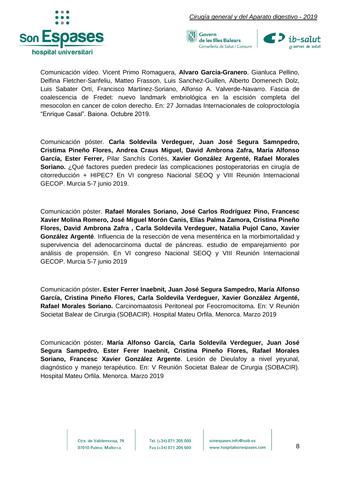





Comunicación vídeo. Vicent Primo Romaguera, **Alvaro Garcia-Granero**, Gianluca Pellino, Delfina Fletcher-Sanfeliu, Matteo Frasson, Luis Sanchez-Guillen, Alberto Domenech Dolz, Luis Sabater Ortí, Francisco Martinez-Soriano, Alfonso A. Valverde-Navarro. Fascia de coalescencia de Fredet: nuevo landmark embriológica en la escisión completa del mesocolon en cancer de colon derecho. En: 27 Jornadas Internacionales de coloproctología "Enrique Casal". Baiona. Octubre 2019.

Comunicación póster. **Carla Soldevila Verdeguer, Juan José Segura Samnpedro, Cristima Pineño Flores, Andrea Craus Miguel, David Ambrona Zafra, María Alfonso García, Ester Ferrer,** Pilar Sanchís Cortés, **Xavier González Argenté, Rafael Morales Soriano.** ¿Qué factores pueden predecir las complicaciones postoperatorias en cirugía de citorreducción + HIPEC? En VI congreso Nacional SEOQ y VIII Reunión Internacional GECOP. Murcia 5-7 junio 2019.

Comunicación póster. **Rafael Morales Soriano, José Carlos Rodríguez Pino, Francesc Xavier Molina Romero, José Miguel Morón Canis, Elías Palma Zamora, Cristina Pineño Flores, David Ambrona Zafra , Carla Soldevila Verdeguer, Natalia Pujol Cano, Xavier González Argenté**. Influencia de la resección de vena mesentérica en la morbimortalidad y supervivencia del adenocarcinoma ductal de páncreas. estudio de emparejamiento por análisis de propensión. En VI congreso Nacional SEOQ y VIII Reunión Internacional GECOP. Murcia 5-7 junio 2019

Comunicación póster**. Ester Ferrer Inaebnit, Juan José Segura Sampedro, María Alfonso García, Cristina Pineño Flores, Carla Soldevila Verdeguer, Xavier González Argenté, Rafael Morales Soriano.** Carcinomaatosis Peritoneal por Feocromocitoma. En: V Reunión Societat Balear de Cirurgia (SOBACIR). Hospital Mateu Orfila. Menorca. Marzo 2019

Comunicación póster**. María Alfonso García, Carla Soldevila Verdeguer, Juan José Segura Sampedro, Ester Ferer Inaebnit, Cristina Pineño Flores, Rafael Morales Soriano, Francesc Xavier González Argente**. Lesión de Dieulafoy a nivel yeyunal, diagnóstico y manejo terapéutico. En: V Reunión Societat Balear de Cirurgia (SOBACIR). Hospital Mateu Orfila. Menorca. Marzo 2019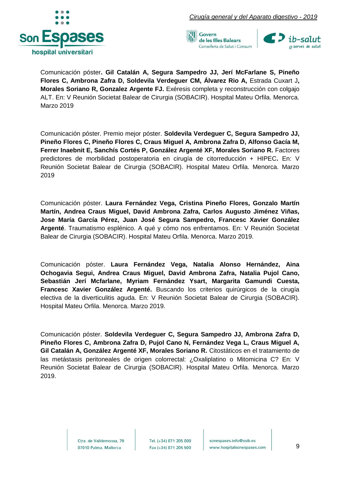





Comunicación póster**. Gil Catalán A, Segura Sampedro JJ, Jerí McFarlane S, Pineño Flores C, Ambrona Zafra D, Soldevila Verdeguer CM, Álvarez Rio A,** Estrada Cuxart J**, Morales Soriano R, Gonzalez Argente FJ.** Exéresis completa y reconstrucción con colgajo ALT. En: V Reunión Societat Balear de Cirurgia (SOBACIR). Hospital Mateu Orfila. Menorca. Marzo 2019

Comunicación póster. Premio mejor póster. **Soldevila Verdeguer C, Segura Sampedro JJ, Pineño Flores C, Pineño Flores C, Craus Miguel A, Ambrona Zafra D, Alfonso Gacía M, Ferrer Inaebnit E, Sanchís Cortés P, González Argenté XF, Morales Soriano R.** Factores predictores de morbilidad postoperatoria en cirugía de citorreducción + HIPEC**.** En: V Reunión Societat Balear de Cirurgia (SOBACIR). Hospital Mateu Orfila. Menorca. Marzo 2019

Comunicación póster. **Laura Fernández Vega, Cristina Pineño Flores, Gonzalo Martín Martín, Andrea Craus Miguel, David Ambrona Zafra, Carlos Augusto Jiménez Viñas, Jose María García Pérez, Juan José Segura Sampedro, Francesc Xavier González Argenté**. Traumatismo esplénico. A qué y cómo nos enfrentamos. En: V Reunión Societat Balear de Cirurgia (SOBACIR). Hospital Mateu Orfila. Menorca. Marzo 2019.

Comunicación póster. **Laura Fernández Vega, Natalia Alonso Hernández, Aina Ochogavia Segui, Andrea Craus Miguel, David Ambrona Zafra, Natalia Pujol Cano, Sebastián Jerí Mcfarlane, Myriam Fernández Ysart, Margarita Gamundi Cuesta, Francesc Xavier González Argenté.** Buscando los criterios quirúrgicos de la cirugía electiva de la diverticulitis aguda. En: V Reunión Societat Balear de Cirurgia (SOBACIR). Hospital Mateu Orfila. Menorca. Marzo 2019.

Comunicación póster. **Soldevila Verdeguer C, Segura Sampedro JJ, Ambrona Zafra D, Pineño Flores C, Ambrona Zafra D, Pujol Cano N, Fernández Vega L, Craus Miguel A, Gil Catalán A, González Argenté XF, Morales Soriano R.** Citostáticos en el tratamiento de las metástasis peritoneales de origen colorrectal: ¿Oxaliplatino o Mitomicina C? En: V Reunión Societat Balear de Cirurgia (SOBACIR). Hospital Mateu Orfila. Menorca. Marzo 2019.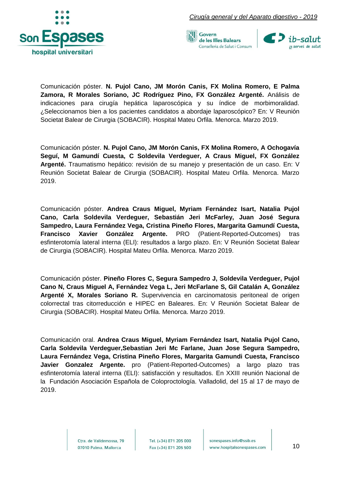





Comunicación póster. **N. Pujol Cano, JM Morón Canis, FX Molina Romero, E Palma Zamora, R Morales Soriano, JC Rodríguez Pino, FX González Argenté.** Análisis de indicaciones para cirugía hepática laparoscópica y su índice de morbimoralidad. ¿Seleccionamos bien a los pacientes candidatos a abordaje laparoscópico? En: V Reunión Societat Balear de Cirurgia (SOBACIR). Hospital Mateu Orfila. Menorca. Marzo 2019.

Comunicación póster. **N. Pujol Cano, JM Morón Canis, FX Molina Romero, A Ochogavía Seguí, M Gamundí Cuesta, C Soldevila Verdeguer, A Craus Miguel, FX González Argenté.** Traumatismo hepático: revisión de su manejo y presentación de un caso. En: V Reunión Societat Balear de Cirurgia (SOBACIR). Hospital Mateu Orfila. Menorca. Marzo 2019.

Comunicación póster. **Andrea Craus Miguel, Myriam Fernández Isart, Natalia Pujol Cano, Carla Soldevila Verdeguer, Sebastián Jeri McFarley, Juan José Segura Sampedro, Laura Fernández Vega, Cristina Pineño Flores, Margarita Gamundí Cuesta, Francisco Xavier González Argente.** PRO (Patient-Reported-Outcomes) tras esfinterotomía lateral interna (ELI): resultados a largo plazo. En: V Reunión Societat Balear de Cirurgia (SOBACIR). Hospital Mateu Orfila. Menorca. Marzo 2019.

Comunicación póster. **Pineño Flores C, Segura Sampedro J, Soldevila Verdeguer, Pujol Cano N, Craus Miguel A, Fernández Vega L, Jeri McFarlane S, Gil Catalán A, González Argenté X, Morales Soriano R.** Supervivencia en carcinomatosis peritoneal de origen colorrectal tras citorreducción e HIPEC en Baleares. En: V Reunión Societat Balear de Cirurgia (SOBACIR). Hospital Mateu Orfila. Menorca. Marzo 2019.

Comunicación oral. **Andrea Craus Miguel, Myriam Fernández Isart, Natalia Pujol Cano, Carla Soldevila Verdeguer,Sebastian Jeri Mc Farlane, Juan Jose Segura Sampedro, Laura Fernández Vega, Cristina Pineño Flores, Margarita Gamundi Cuesta, Francisco Javier Gonzalez Argente.** pro (Patient-Reported-Outcomes) a largo plazo tras esfinterotomía lateral interna (ELI): satisfacción y resultados. En XXIII reunión Nacional de la Fundación Asociación Española de Coloproctología. Valladolid, del 15 al 17 de mayo de 2019.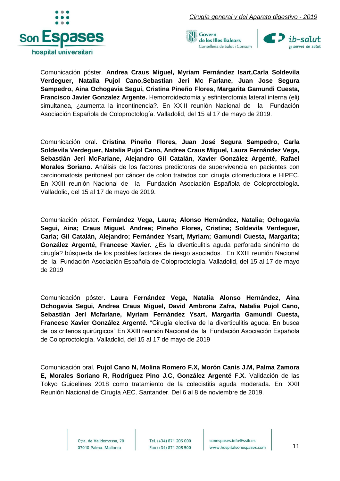

*Cirugía general y del Aparato digestivo - 2019*





Comunicación póster. **Andrea Craus Miguel, Myriam Fernández Isart,Carla Soldevila Verdeguer, Natalia Pujol Cano,Sebastian Jeri Mc Farlane, Juan Jose Segura Sampedro, Aina Ochogavia Segui, Cristina Pineño Flores, Margarita Gamundi Cuesta, Francisco Javier Gonzalez Argente.** Hemorroidectomia y esfinterotomia lateral interna (eli) simultanea, ¿aumenta la incontinencia?. En XXIII reunión Nacional de la Fundación Asociación Española de Coloproctología. Valladolid, del 15 al 17 de mayo de 2019.

Comunicación oral. **Cristina Pineño Flores, Juan José Segura Sampedro, Carla Soldevila Verdeguer, Natalia Pujol Cano, Andrea Craus Miguel, Laura Fernández Vega, Sebastián Jerí McFarlane, Alejandro Gil Catalán, Xavier González Argenté, Rafael Morales Soriano.** Análisis de los factores predictores de supervivencia en pacientes con carcinomatosis peritoneal por cáncer de colon tratados con cirugía citorreductora e HIPEC. En XXIII reunión Nacional de la Fundación Asociación Española de Coloproctología. Valladolid, del 15 al 17 de mayo de 2019.

Comuniación póster. **Fernández Vega, Laura; Alonso Hernández, Natalia; Ochogavia Segui, Aina; Craus Miguel, Andrea; Pineño Flores, Cristina; Soldevila Verdeguer, Carla; Gil Catalán, Alejandro; Fernández Ysart, Myriam; Gamundi Cuesta, Margarita; González Argenté, Francesc Xavier.** ¿Es la diverticulitis aguda perforada sinónimo de cirugía? búsqueda de los posibles factores de riesgo asociados. En XXIII reunión Nacional de la Fundación Asociación Española de Coloproctología. Valladolid, del 15 al 17 de mayo de 2019

Comunicación póster**. Laura Fernández Vega, Natalia Alonso Hernández, Aina Ochogavia Segui, Andrea Craus Miguel, David Ambrona Zafra, Natalia Pujol Cano, Sebastián Jerí Mcfarlane, Myriam Fernández Ysart, Margarita Gamundi Cuesta, Francesc Xavier González Argenté.** "Cirugía electiva de la diverticulitis aguda. En busca de los criterios quirúrgicos" En XXIII reunión Nacional de la Fundación Asociación Española de Coloproctología. Valladolid, del 15 al 17 de mayo de 2019

Comunicación oral. **Pujol Cano N, Molina Romero F.X, Morón Canis J.M, Palma Zamora E, Morales Soriano R, Rodríguez Pino J.C, González Argenté F.X.** Validación de las Tokyo Guidelines 2018 como tratamiento de la colecistitis aguda moderada. En: XXII Reunión Nacional de Cirugía AEC. Santander. Del 6 al 8 de noviembre de 2019.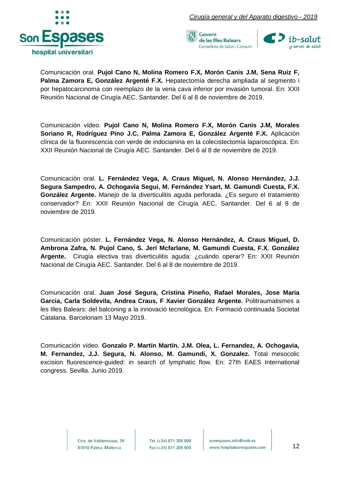





Comunicación oral. **Pujol Cano N, Molina Romero F.X, Morón Canis J.M, Sena Ruiz F, Palma Zamora E, González Argenté F.X.** Hepatectomía derecha ampliada al segmento i por hepatocarcinoma con reemplazo de la vena cava inferior por invasión tumoral. En: XXII Reunión Nacional de Cirugía AEC. Santander. Del 6 al 8 de noviembre de 2019.

Comunicación vídeo. **Pujol Cano N, Molina Romero F.X, Morón Canis J.M, Morales Soriano R, Rodríguez Pino J.C, Palma Zamora E, González Argenté F.X.** Aplicación clínica de la fluorescencia con verde de indocianina en la colecistectomía laparoscópica. En: XXII Reunión Nacional de Cirugía AEC. Santander. Del 6 al 8 de noviembre de 2019.

Comunicación oral. **L. Fernández Vega, A. Craus Miguel, N. Alonso Hernández, J.J. Segura Sampedro, A. Ochogavía Segui, M. Fernández Ysart, M. Gamundi Cuesta, F.X. González Argente.** Manejo de la diverticulitis aguda perforada. ¿Es seguro el tratamiento conservador? En: XXII Reunión Nacional de Cirugía AEC. Santander. Del 6 al 8 de noviembre de 2019.

Comunicación póster. **L. Fernández Vega, N. Alonso Hernández, A. Craus Miguel, D. Ambrona Zafra, N. Pujol Cano, S. Jerí Mcfarlane, M. Gamundi Cuesta, F.X. González Argente.** Cirugía electiva tras diverticulitis aguda: ¿cuándo operar? En: XXII Reunión Nacional de Cirugía AEC. Santander. Del 6 al 8 de noviembre de 2019.

Comunicación oral. **Juan José Segura, Cristina Pineño, Rafael Morales, Jose Maria Garcia, Carla Soldevila, Andrea Craus, F Xavier González Argente.** Politraumatismes a les Illes Balears: del balconing a la innovació tecnológica. En: Formació continuada Societat Catalana. Barcelonam 13 Mayo 2019.

Comunicación vídeo. **Gonzalo P. Martín Martín. J.M. Olea, L. Fernandez, A. Ochogavia, M. Fernandez, J.J. Segura, N. Alonso, M. Gamundi, X. Gonzalez.** Total mesocolic excision fluorescence-guided: in search of lymphatic flow. En: 27th EAES International congress. Sevilla. Junio 2019.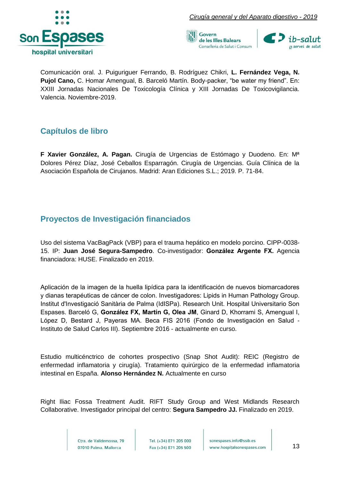





Comunicación oral. J. Puiguriguer Ferrando, B. Rodríguez Chikri, **L. Fernández Vega, N. Pujol Cano,** C. Homar Amengual, B. Barceló Martín. Body-packer, "be water my friend". En: XXIII Jornadas Nacionales De Toxicología Clínica y XIII Jornadas De Toxicovigilancia. Valencia. Noviembre-2019.

#### <span id="page-13-0"></span>**Capítulos de libro**

**F Xavier González, A. Pagan.** Cirugía de Urgencias de Estómago y Duodeno. En: Mª Dolores Pérez Díaz, José Ceballos Esparragón. Cirugía de Urgencias. Guía Clínica de la Asociación Española de Cirujanos. Madrid: Aran Ediciones S.L.; 2019. P. 71-84.

#### <span id="page-13-1"></span>**Proyectos de Investigación financiados**

Uso del sistema VacBagPack (VBP) para el trauma hepático en modelo porcino. CIPP-0038- 15. IP: **Juan José Segura-Sampedro**. Co-investigador: **González Argente FX.** Agencia financiadora: HUSE. Finalizado en 2019.

Aplicación de la imagen de la huella lipídica para la identificación de nuevos biomarcadores y dianas terapéuticas de cáncer de colon. Investigadores: Lipids in Human Pathology Group. Institut d'Investigació Sanitària de Palma (IdISPa). Research Unit. Hospital Universitario Son Espases. Barceló G, **González FX, Martín G, Olea JM**, Ginard D, Khorrami S, Amengual I, López D, Bestard J, Payeras MA. Beca FIS 2016 (Fondo de Investigación en Salud - Instituto de Salud Carlos III). Septiembre 2016 - actualmente en curso.

Estudio multicénctrico de cohortes prospectivo (Snap Shot Audit): REIC (Registro de enfermedad inflamatoria y cirugía). Tratamiento quirúrgico de la enfermedad inflamatoria intestinal en España. **Alonso Hernández N.** Actualmente en curso

Right Iliac Fossa Treatment Audit. RIFT Study Group and West Midlands Research Collaborative. Investigador principal del centro: **Segura Sampedro JJ.** Finalizado en 2019.

> Ctra, de Valldemossa, 79 07010 Palma. Mallorca

Tel. (+34) 871 205 000 Fax (+34) 871 205 500

sonespases.info@ssib.es www.hospitalsonespases.com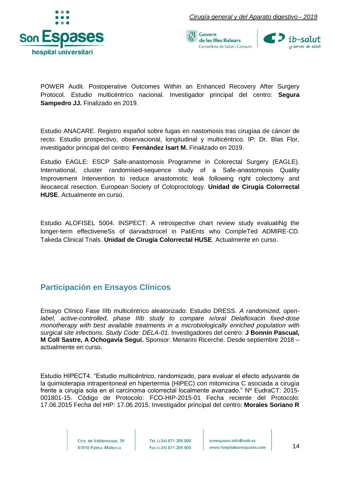





POWER Audit. Postoperative Outcomes Within an Enhanced Recovery After Surgery Protocol. Estudio multicéntrico nacional. Investigador principal del centro: **Segura Sampedro JJ.** Finalizado en 2019.

Estudio ANACARE. Registro español sobre fugas en nastomosis tras cirugíaa de cáncer de recto. Estudio prospectivo, observacional, longitudinal y multicéntrico. IP: Dr. Blas Flor, investigador principal del centro: **Fernández Isart M.** Finalizado en 2019.

Estudio EAGLE: ESCP Safe-anastomosis Programme in Colorectal Surgery (EAGLE). International, cluster randomised-sequence study of a Safe-anastomosis Quality Improvement Intervention to reduce anastomotic leak following right colectomy and ileocaecal resection. European Society of Coloproctology. **Unidad de Cirugía Colorrectal HUSE**. Actualmente en curso.

Estudio ALOFISEL 5004. INSPECT: A retrospectIve chart review study evaluatiNg the longer-term effectiveneSs of darvadstrocel in PatiEnts who CompleTed ADMIRE-CD. Takeda Clinical Trials. **Unidad de Cirugía Colorrectal HUSE**. Actualmente en curso.

#### <span id="page-14-0"></span>**Participación en Ensayos Clínicos**

Ensayo Clínico Fase IIIb multicéntrico aleatorizado: Estudio DRESS. *A randomized, openlabel, active-controlled, phase IIIb study to compare iv/oral Delafloxacin fixed-dose monotherapy with best available treatments in a microbiologically enriched population with surgical site infections. Study Code: DELA-01.* Investigadores del centro: **J Bonnín Pascual, M Coll Sastre, A Ochogavía Seguí.** Sponsor: Menarini Ricerche. Desde septiembre 2018 – actualmente en curso.

Estudio HIPECT4. "Estudio multicéntrico, randomizado, para evaluar el efecto adyuvante de la quimioterapia intraperitoneal en hipertermia (HIPEC) con mitomicina C asociada a cirugía frente a cirugía sola en el carcinoma colorrectal localmente avanzado." Nº EudraCT: 2015- 001801-15. Código de Protocolo: FCO-HIP-2015-01 Fecha reciente del Protocolo: 17.06.2015 Fecha del HIP: 17.06.2015. Investigador principal del centro: **Morales Soriano R**

> Ctra, de Valldemossa, 79 07010 Palma. Mallorca

Tel. (+34) 871 205 000 Fax (+34) 871 205 500

sonespases.info@ssib.es www.hospitalsonespases.com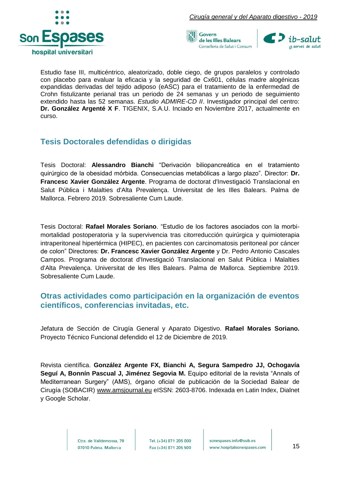



Estudio fase III, multicéntrico, aleatorizado, doble ciego, de grupos paralelos y controlado con placebo para evaluar la eficacia y la seguridad de Cx601, células madre alogénicas expandidas derivadas del tejido adiposo (eASC) para el tratamiento de la enfermedad de Crohn fistulizante perianal tras un periodo de 24 semanas y un periodo de seguimiento extendido hasta las 52 semanas. *Estudio ADMIRE-CD II*. Investigador principal del centro: **Dr. González Argenté X F**. TIGENIX, S.A.U. Inciado en Noviembre 2017, actualmente en curso.

#### <span id="page-15-0"></span>**Tesis Doctorales defendidas o dirigidas**

Tesis Doctoral: **Alessandro Bianchi** "Derivación biliopancreática en el tratamiento quirúrgico de la obesidad mórbida. Consecuencias metabólicas a largo plazo". Director: **Dr. Francesc Xavier González Argente**. Programa de doctorat d'Investigació Translacional en Salut Pública i Malalties d'Alta Prevalença. Universitat de les Illes Balears. Palma de Mallorca. Febrero 2019. Sobresaliente Cum Laude.

Tesis Doctoral: **Rafael Morales Soriano**. "Estudio de los factores asociados con la morbimortalidad postoperatoria y la supervivencia tras citorreducción quirúrgica y quimioterapia intraperitoneal hipertérmica (HIPEC), en pacientes con carcinomatosis peritoneal por cáncer de colon" Directores: **Dr. Francesc Xavier González Argente** y Dr. Pedro Antonio Cascales Campos. Programa de doctorat d'Investigació Translacional en Salut Pública i Malalties d'Alta Prevalença. Universitat de les Illes Balears. Palma de Mallorca. Septiembre 2019. Sobresaliente Cum Laude.

#### <span id="page-15-1"></span>**Otras actividades como participación en la organización de eventos científicos, conferencias invitadas, etc.**

Jefatura de Sección de Cirugía General y Aparato Digestivo. **Rafael Morales Soriano.**  Proyecto Técnico Funcional defendido el 12 de Diciembre de 2019.

Revista científica. **González Argente FX, Bianchi A, Segura Sampedro JJ, Ochogavía Seguí A, Bonnín Pascual J, Jiménez Segovia M.** Equipo editorial de la revista "Annals of Mediterranean Surgery" (AMS), órgano oficial de publicación de la Sociedad Balear de Cirugía (SOBACIR) [www.amsjournal.eu](http://www.amsjournal.eu/) eISSN: 2603-8706. Indexada en Latin Index, Dialnet y Google Scholar.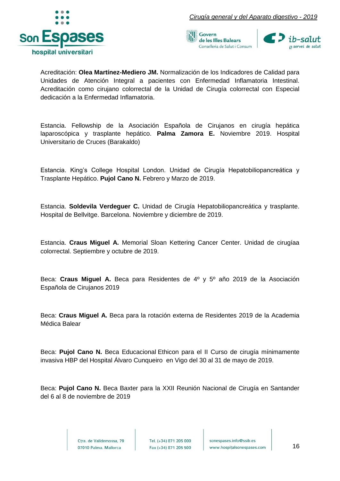





Acreditación: **Olea Martínez-Mediero JM.** Normalización de los Indicadores de Calidad para Unidades de Atención Integral a pacientes con Enfermedad Inflamatoria Intestinal. Acreditación como cirujano colorrectal de la Unidad de Cirugía colorrectal con Especial dedicación a la Enfermedad Inflamatoria.

Estancia. Fellowship de la Asociación Española de Cirujanos en cirugía hepática laparoscópica y trasplante hepático. **Palma Zamora E.** Noviembre 2019. Hospital Universitario de Cruces (Barakaldo)

Estancia. King's College Hospital London. Unidad de Cirugía Hepatobiliopancreática y Trasplante Hepático. **Pujol Cano N.** Febrero y Marzo de 2019.

Estancia. **Soldevila Verdeguer C.** Unidad de Cirugía Hepatobiliopancreática y trasplante. Hospital de Bellvitge. Barcelona. Noviembre y diciembre de 2019.

Estancia. **Craus Miguel A.** Memorial Sloan Kettering Cancer Center. Unidad de cirugíaa colorrectal. Septiembre y octubre de 2019.

Beca: **Craus Miguel A.** Beca para Residentes de 4º y 5º año 2019 de la Asociación Española de Cirujanos 2019

Beca: **Craus Miguel A.** Beca para la rotación externa de Residentes 2019 de la Academia Médica Balear

Beca: **Pujol Cano N.** Beca Educacional Ethicon para el II Curso de cirugía mínimamente invasiva HBP del Hospital Álvaro Cunqueiro en Vigo del 30 al 31 de mayo de 2019.

Beca: **Pujol Cano N.** Beca Baxter para la XXII Reunión Nacional de Cirugía en Santander del 6 al 8 de noviembre de 2019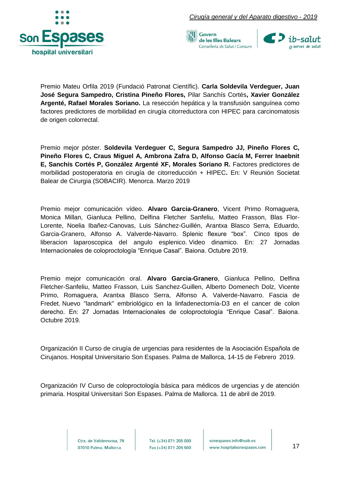





Premio Mateu Orfila 2019 (Fundació Patronat Científic). **Carla Soldevila Verdeguer, Juan José Segura Sampedro, Cristina Pineño Flores,** Pilar Sanchís Cortés**, Xavier González Argenté, Rafael Morales Soriano.** La resección hepática y la transfusión sanguínea como factores predictores de morbilidad en cirugía citorreductora con HIPEC para carcinomatosis de origen colorrectal.

Premio mejor póster. **Soldevila Verdeguer C, Segura Sampedro JJ, Pineño Flores C, Pineño Flores C, Craus Miguel A, Ambrona Zafra D, Alfonso Gacía M, Ferrer Inaebnit E, Sanchís Cortés P, González Argenté XF, Morales Soriano R.** Factores predictores de morbilidad postoperatoria en cirugía de citorreducción + HIPEC**.** En: V Reunión Societat Balear de Cirurgia (SOBACIR). Menorca. Marzo 2019

Premio mejor comunicación vídeo. **Alvaro Garcia-Granero**, Vicent Primo Romaguera, Monica Millan, Gianluca Pellino, Delfina Fletcher Sanfeliu, Matteo Frasson, Blas Flor-Lorente, Noelia Ibañez-Canovas, Luis Sánchez-Guillén, Arantxa Blasco Serra, Eduardo, Garcia-Granero, Alfonso A. Valverde-Navarro. Splenic flexure "box". Cinco tipos de liberacion laparoscopica del angulo esplenico. Video dinamico. En: 27 Jornadas Internacionales de coloproctología "Enrique Casal". Baiona. Octubre 2019.

Premio mejor comunicación oral. **Alvaro Garcia-Granero**, Gianluca Pellino, Delfina Fletcher-Sanfeliu, Matteo Frasson, Luis Sanchez-Guillen, Alberto Domenech Dolz, Vicente Primo, Romaguera, Arantxa Blasco Serra, Alfonso A. Valverde-Navarro. Fascia de Fredet. Nuevo "landmark" embriológico en la linfadenectomía-D3 en el cancer de colon derecho. En: 27 Jornadas Internacionales de coloproctología "Enrique Casal". Baiona. Octubre 2019.

Organización II Curso de cirugía de urgencias para residentes de la Asociación Española de Cirujanos. Hospital Universitario Son Espases. Palma de Mallorca, 14-15 de Febrero 2019.

Organización IV Curso de coloproctología básica para médicos de urgencias y de atención primaria. Hospital Universitari Son Espases. Palma de Mallorca. 11 de abril de 2019.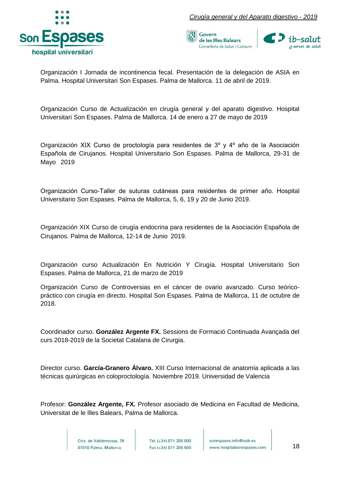

*Cirugía general y del Aparato digestivo - 2019*





Organización I Jornada de incontinencia fecal. Presentación de la delegación de ASIA en Palma. Hospital Universitari Son Espases. Palma de Mallorca. 11 de abril de 2019.

Organización Curso de Actualización en cirugía general y del aparato digestivo. Hospital Universitari Son Espases. Palma de Mallorca. 14 de enero a 27 de mayo de 2019

Organización XIX Curso de proctología para residentes de 3º y 4º año de la Asociación Española de Cirujanos. Hospital Universitario Son Espases. Palma de Mallorca, 29-31 de Mayo 2019

Organización Curso-Taller de suturas cutáneas para residentes de primer año. Hospital Universitario Son Espases. Palma de Mallorca, 5, 6, 19 y 20 de Junio 2019.

Organización XIX Curso de cirugía endocrina para residentes de la Asociación Española de Cirujanos. Palma de Mallorca, 12-14 de Junio 2019.

Organización curso Actualización En Nutrición Y Cirugía. Hospital Universitario Son Espases. Palma de Mallorca, 21 de marzo de 2019

Organización Curso de Controversias en el cáncer de ovario avanzado. Curso teóricopráctico con cirugía en directo. Hospital Son Espases. Palma de Mallorca, 11 de octubre de 2018.

Coordinador curso. **González Argente FX.** Sessions de Formació Continuada Avançada del curs 2018-2019 de la Societat Catalana de Cirurgia.

Director curso. **García-Granero Álvaro.** XIII Curso Internacional de anatomía aplicada a las técnicas quirúrgicas en coloproctología. Noviembre 2019. Universidad de Valencia

Profesor: **González Argente, FX.** Profesor asociado de Medicina en Facultad de Medicina, Universitat de le Illes Balears, Palma de Mallorca.

> Ctra, de Valldemossa, 79 07010 Palma. Mallorca

Tel. (+34) 871 205 000 Fax (+34) 871 205 500

sonespases.info@ssib.es www.hospitalsonespases.com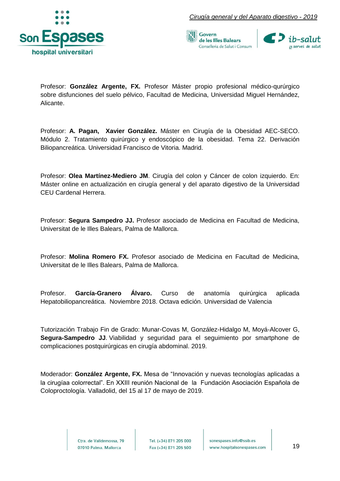



Profesor: **González Argente, FX.** Profesor Máster propio profesional médico-qurúrgico sobre disfunciones del suelo pélvico, Facultad de Medicina, Universidad Miguel Hernández, Alicante.

Profesor: **A. Pagan, Xavier González.** Máster en Cirugía de la Obesidad AEC-SECO. Módulo 2. Tratamiento quirúrgico y endoscópico de la obesidad. Tema 22. Derivación Biliopancreática. Universidad Francisco de Vitoria. Madrid.

Profesor: **Olea Martínez-Mediero JM**. Cirugía del colon y Cáncer de colon izquierdo. En: Máster online en actualización en cirugía general y del aparato digestivo de la Universidad CEU Cardenal Herrera.

Profesor: **Segura Sampedro JJ.** Profesor asociado de Medicina en Facultad de Medicina, Universitat de le Illes Balears, Palma de Mallorca.

Profesor: **Molina Romero FX.** Profesor asociado de Medicina en Facultad de Medicina, Universitat de le Illes Balears, Palma de Mallorca.

Profesor. **García-Granero Álvaro.** Curso de anatomía quirúrgica aplicada Hepatobiliopancreática. Noviembre 2018. Octava edición. Universidad de Valencia

Tutorización Trabajo Fin de Grado: Munar-Covas M, González-Hidalgo M, Moyá-Alcover G, **Segura-Sampedro JJ**. Viabilidad y seguridad para el seguimiento por smartphone de complicaciones postquirúrgicas en cirugía abdominal. 2019.

Moderador: **González Argente, FX.** Mesa de "Innovación y nuevas tecnologías aplicadas a la cirugíaa colorrectal". En XXIII reunión Nacional de la Fundación Asociación Española de Coloproctología. Valladolid, del 15 al 17 de mayo de 2019.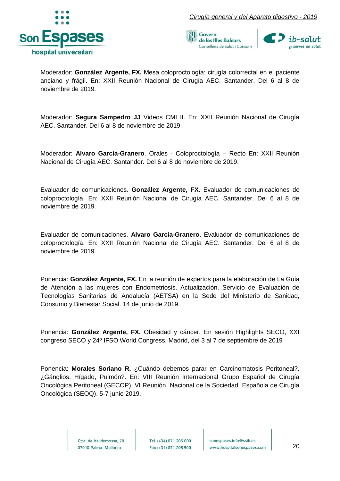





Moderador: **González Argente, FX.** Mesa coloproctología: cirugía colorrectal en el paciente anciano y frágil. En: XXII Reunión Nacional de Cirugía AEC. Santander. Del 6 al 8 de noviembre de 2019.

Moderador: **Segura Sampedro JJ** Videos CMI II. En: XXII Reunión Nacional de Cirugía AEC. Santander. Del 6 al 8 de noviembre de 2019.

Moderador: **Alvaro Garcia-Granero**. Orales - Coloproctología – Recto En: XXII Reunión Nacional de Cirugía AEC. Santander. Del 6 al 8 de noviembre de 2019.

Evaluador de comunicaciones. **González Argente, FX.** Evaluador de comunicaciones de coloproctología. En: XXII Reunión Nacional de Cirugía AEC. Santander. Del 6 al 8 de noviembre de 2019.

Evaluador de comunicaciones. **Alvaro Garcia-Granero.** Evaluador de comunicaciones de coloproctología. En: XXII Reunión Nacional de Cirugía AEC. Santander. Del 6 al 8 de noviembre de 2019.

Ponencia: **González Argente, FX.** En la reunión de expertos para la elaboración de La Guía de Atención a las mujeres con Endometriosis. Actualización. Servicio de Evaluación de Tecnologías Sanitarias de Andalucía (AETSA) en la Sede del Ministerio de Sanidad, Consumo y Bienestar Social. 14 de junio de 2019.

Ponencia: **González Argente, FX.** Obesidad y cáncer. En sesión Highlights SECO, XXI congreso SECO y 24º IFSO World Congress. Madrid, del 3 al 7 de septiembre de 2019

Ponencia: **Morales Soriano R.** ¿Cuándo debemos parar en Carcinomatosis Peritoneal?. ¿Gánglios, Hígado, Pulmón?. En: VIII Reunión Internacional Grupo Español de Cirugía Oncológica Peritoneal (GECOP). VI Reunión Nacional de la Sociedad Española de Cirugía Oncológica (SEOQ). 5-7 junio 2019.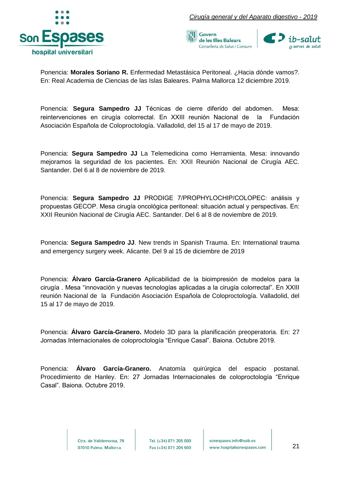





Ponencia: **Morales Soriano R.** Enfermedad Metastásica Peritoneal. ¿Hacia dónde vamos?. En: Real Academia de Ciencias de las Islas Baleares. Palma Mallorca 12 diciembre 2019.

Ponencia: **Segura Sampedro JJ** Técnicas de cierre diferido del abdomen. Mesa: reintervenciones en cirugía colorrectal. En XXIII reunión Nacional de la Fundación Asociación Española de Coloproctología. Valladolid, del 15 al 17 de mayo de 2019.

Ponencia: **Segura Sampedro JJ** La Telemedicina como Herramienta. Mesa: innovando mejoramos la seguridad de los pacientes. En: XXII Reunión Nacional de Cirugía AEC. Santander. Del 6 al 8 de noviembre de 2019.

Ponencia: **Segura Sampedro JJ** PRODIGE 7/PROPHYLOCHIP/COLOPEC: análisis y propuestas GECOP. Mesa cirugía oncológica peritoneal: situación actual y perspectivas. En: XXII Reunión Nacional de Cirugía AEC. Santander. Del 6 al 8 de noviembre de 2019.

Ponencia: **Segura Sampedro JJ**. New trends in Spanish Trauma. En: International trauma and emergency surgery week. Alicante. Del 9 al 15 de diciembre de 2019

Ponencia: **Álvaro García-Granero** Aplicabilidad de la bioimpresión de modelos para la cirugía . Mesa "innovación y nuevas tecnologías aplicadas a la cirugía colorrectal". En XXIII reunión Nacional de la Fundación Asociación Española de Coloproctología. Valladolid, del 15 al 17 de mayo de 2019.

Ponencia: **Álvaro García-Granero.** Modelo 3D para la planificación preoperatoria. En: 27 Jornadas Internacionales de coloproctología "Enrique Casal". Baiona. Octubre 2019.

Ponencia: **Álvaro García-Granero.** Anatomía quirúrgica del espacio postanal. Procedimiento de Hanley. En: 27 Jornadas Internacionales de coloproctología "Enrique Casal". Baiona. Octubre 2019.